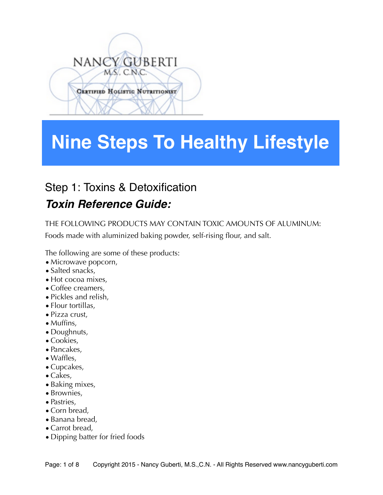# NANCY GUBERTI MS. C.N.C. **CERTIFIED HOLISTIC NUTRITIONIST**

## **Nine Steps To Healthy Lifestyle**

## Step 1: Toxins & Detoxification *Toxin Reference Guide:*

THE FOLLOWING PRODUCTS MAY CONTAIN TOXIC AMOUNTS OF ALUMINUM:

Foods made with aluminized baking powder, self-rising flour, and salt.

The following are some of these products:

- Microwave popcorn,
- Salted snacks,
- Hot cocoa mixes.
- Coffee creamers,
- •Pickles and relish,
- Flour tortillas,
- •Pizza crust,
- Muffins,
- Doughnuts,
- Cookies,
- •Pancakes,
- Waffles,
- Cupcakes,
- •Cakes,
- Baking mixes,
- Brownies,
- Pastries,
- Corn bread,
- •Banana bread,
- Carrot bread,
- •Dipping batter for fried foods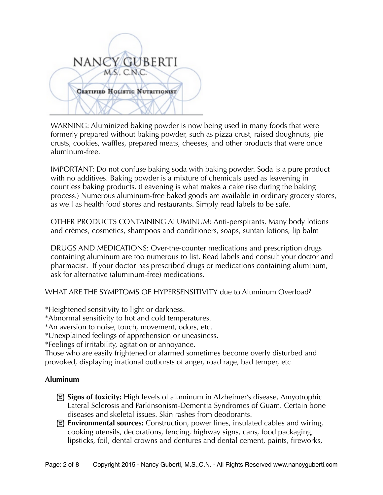

WARNING: Aluminized baking powder is now being used in many foods that were formerly prepared without baking powder, such as pizza crust, raised doughnuts, pie crusts, cookies, waffles, prepared meats, cheeses, and other products that were once aluminum-free.

IMPORTANT: Do not confuse baking soda with baking powder. Soda is a pure product with no additives. Baking powder is a mixture of chemicals used as leavening in countless baking products. (Leavening is what makes a cake rise during the baking process.) Numerous aluminum-free baked goods are available in ordinary grocery stores, as well as health food stores and restaurants. Simply read labels to be safe.

OTHER PRODUCTS CONTAINING ALUMINUM: Anti-perspirants, Many body lotions and crèmes, cosmetics, shampoos and conditioners, soaps, suntan lotions, lip balm

DRUGS AND MEDICATIONS: Over-the-counter medications and prescription drugs containing aluminum are too numerous to list. Read labels and consult your doctor and pharmacist. If your doctor has prescribed drugs or medications containing aluminum, ask for alternative (aluminum-free) medications.

WHAT ARE THE SYMPTOMS OF HYPERSENSITIVITY due to Aluminum Overload?

\*Heightened sensitivity to light or darkness.

\*Abnormal sensitivity to hot and cold temperatures.

\*An aversion to noise, touch, movement, odors, etc.

\*Unexplained feelings of apprehension or uneasiness.

\*Feelings of irritability, agitation or annoyance.

Those who are easily frightened or alarmed sometimes become overly disturbed and provoked, displaying irrational outbursts of anger, road rage, bad temper, etc.

#### **Aluminum**

- **If Signs of toxicity:** High levels of aluminum in Alzheimer's disease, Amyotrophic Lateral Sclerosis and Parkinsonism-Dementia Syndromes of Guam. Certain bone diseases and skeletal issues. Skin rashes from deodorants.
- ! **Environmental sources:** Construction, power lines, insulated cables and wiring, cooking utensils, decorations, fencing, highway signs, cans, food packaging, lipsticks, foil, dental crowns and dentures and dental cement, paints, fireworks,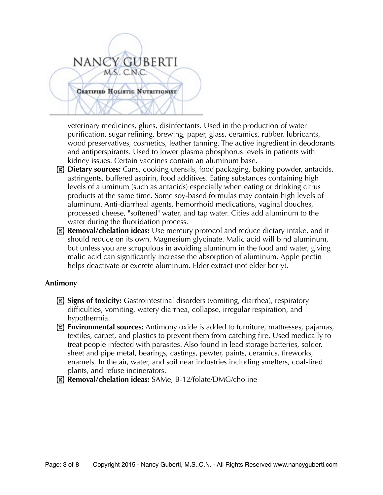## NANCY GUBERTI MS. C.N.C. CERTIFIED HOLISTIC NUTRITIONIST

veterinary medicines, glues, disinfectants. Used in the production of water purification, sugar refining, brewing, paper, glass, ceramics, rubber, lubricants, wood preservatives, cosmetics, leather tanning. The active ingredient in deodorants and antiperspirants. Used to lower plasma phosphorus levels in patients with kidney issues. Certain vaccines contain an aluminum base.

- ! **Dietary sources:** Cans, cooking utensils, food packaging, baking powder, antacids, astringents, buffered aspirin, food additives. Eating substances containing high levels of aluminum (such as antacids) especially when eating or drinking citrus products at the same time. Some soy-based formulas may contain high levels of aluminum. Anti-diarrheal agents, hemorrhoid medications, vaginal douches, processed cheese, "softened" water, and tap water. Cities add aluminum to the water during the fluoridation process.
- ! **Removal/chelation ideas:** Use mercury protocol and reduce dietary intake, and it should reduce on its own. Magnesium glycinate. Malic acid will bind aluminum, but unless you are scrupulous in avoiding aluminum in the food and water, giving malic acid can significantly increase the absorption of aluminum. Apple pectin helps deactivate or excrete aluminum. Elder extract (not elder berry).

#### **Antimony**

- ! **Signs of toxicity:** Gastrointestinal disorders (vomiting, diarrhea), respiratory difficulties, vomiting, watery diarrhea, collapse, irregular respiration, and hypothermia.
- ! **Environmental sources:** Antimony oxide is added to furniture, mattresses, pajamas, textiles, carpet, and plastics to prevent them from catching fire. Used medically to treat people infected with parasites. Also found in lead storage batteries, solder, sheet and pipe metal, bearings, castings, pewter, paints, ceramics, fireworks, enamels. In the air, water, and soil near industries including smelters, coal-fired plants, and refuse incinerators.
- ! **Removal/chelation ideas:** SAMe, B-12/folate/DMG/choline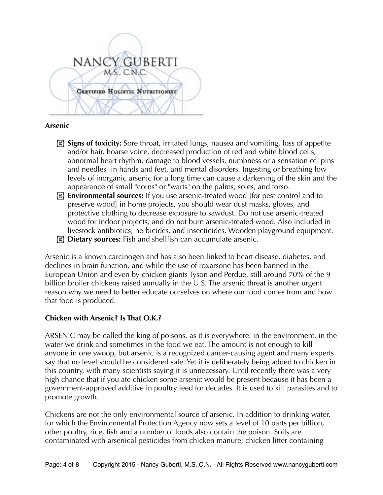

#### **Arsenic**

- **If Signs of toxicity:** Sore throat, irritated lungs, nausea and vomiting, loss of appetite and/or hair, hoarse voice, decreased production of red and white blood cells, abnormal heart rhythm, damage to blood vessels, numbness or a sensation of "pins and needles" in hands and feet, and mental disorders. Ingesting or breathing low levels of inorganic arsenic for a long time can cause a darkening of the skin and the appearance of small "corns" or "warts" on the palms, soles, and torso.
- ! **Environmental sources:** If you use arsenic-treated wood [for pest control and to preserve wood] in home projects, you should wear dust masks, gloves, and protective clothing to decrease exposure to sawdust. Do not use arsenic-treated wood for indoor projects, and do not burn arsenic-treated wood. Also included in livestock antibiotics, herbicides, and insecticides. Wooden playground equipment.
- **I Dietary sources:** Fish and shellfish can accumulate arsenic.

Arsenic is a known carcinogen and has also been linked to heart disease, diabetes, and declines in brain function, and while the use of roxarsone has been banned in the European Union and even by chicken giants Tyson and Perdue, still around 70% of the 9 billion broiler chickens raised annually in the U.S. The arsenic threat is another urgent reason why we need to better educate ourselves on where our food comes from and how that food is produced.

#### **Chicken with Arsenic? Is That O.K.?**

ARSENIC may be called the king of poisons, as it is everywhere: in the environment, in the water we drink and sometimes in the food we eat. The amount is not enough to kill anyone in one swoop, but arsenic is a recognized cancer-causing agent and many experts say that no level should be considered safe. Yet it is deliberately being added to chicken in this country, with many scientists saying it is unnecessary. Until recently there was a very high chance that if you ate chicken some arsenic would be present because it has been a government-approved additive in poultry feed for decades. It is used to kill parasites and to promote growth.

Chickens are not the only environmental source of arsenic. In addition to drinking water, for which the [Environmental Protection Agency](http://topics.nytimes.com/top/reference/timestopics/organizations/e/environmental_protection_agency/index.html?inline=nyt-org) now sets a level of 10 parts per billion, other poultry, rice, fish and a number of foods also contain the poison. Soils are contaminated with arsenical pesticides from chicken manure; chicken litter containing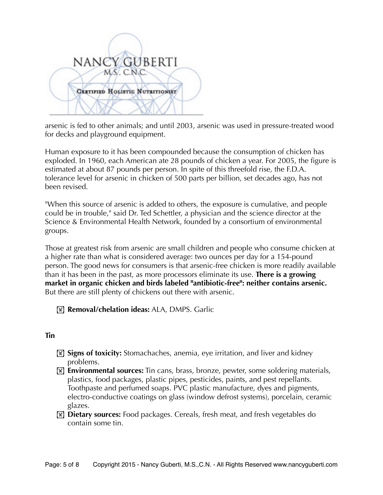

arsenic is fed to other animals; and until 2003, arsenic was used in pressure-treated wood for decks and playground equipment.

Human exposure to it has been compounded because the consumption of chicken has exploded. In 1960, each American ate 28 pounds of chicken a year. For 2005, the figure is estimated at about 87 pounds per person. In spite of this threefold rise, the F.D.A. tolerance level for arsenic in chicken of 500 parts per billion, set decades ago, has not been revised.

"When this source of arsenic is added to others, the exposure is cumulative, and people could be in trouble," said Dr. Ted Schettler, a physician and the science director at the Science & Environmental Health Network, founded by a consortium of environmental groups.

Those at greatest risk from arsenic are small children and people who consume chicken at a higher rate than what is considered average: two ounces per day for a 154-pound person. The good news for consumers is that arsenic-free chicken is more readily available than it has been in the past, as more processors eliminate its use. **There is a growing market in organic chicken and birds labeled "antibiotic-free": neither contains arsenic.** But there are still plenty of chickens out there with arsenic.

! **Removal/chelation ideas:** ALA, DMPS. Garlic

#### **Tin**

- **If** Signs of toxicity: Stomachaches, anemia, eye irritation, and liver and kidney problems.
- **Environmental sources:** Tin cans, brass, bronze, pewter, some soldering materials, plastics, food packages, plastic pipes, pesticides, paints, and pest repellants. Toothpaste and perfumed soaps. PVC plastic manufacture, dyes and pigments, electro-conductive coatings on glass (window defrost systems), porcelain, ceramic glazes.
- ! **Dietary sources:** Food packages. Cereals, fresh meat, and fresh vegetables do contain some tin.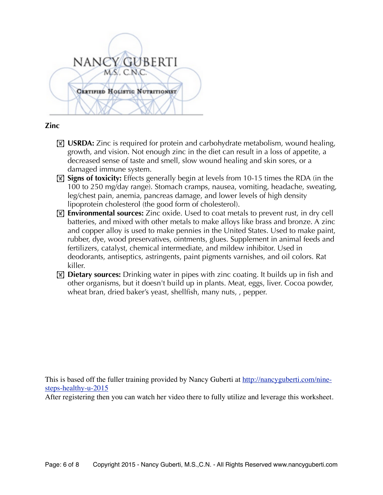

#### **Zinc**

- **If** USRDA: Zinc is required for protein and carbohydrate metabolism, wound healing, growth, and vision. Not enough zinc in the diet can result in a loss of appetite, a decreased sense of taste and smell, slow wound healing and skin sores, or a damaged immune system.
- **If** signs of toxicity: Effects generally begin at levels from 10-15 times the RDA (in the 100 to 250 mg/day range). Stomach cramps, nausea, vomiting, headache, sweating, leg/chest pain, anemia, pancreas damage, and lower levels of high density lipoprotein cholesterol (the good form of cholesterol).
- **Environmental sources:** Zinc oxide. Used to coat metals to prevent rust, in dry cell batteries, and mixed with other metals to make alloys like brass and bronze. A zinc and copper alloy is used to make pennies in the United States. Used to make paint, rubber, dye, wood preservatives, ointments, glues. Supplement in animal feeds and fertilizers, catalyst, chemical intermediate, and mildew inhibitor. Used in deodorants, antiseptics, astringents, paint pigments varnishes, and oil colors. Rat killer.
- **If Dietary sources:** Drinking water in pipes with zinc coating. It builds up in fish and other organisms, but it doesn't build up in plants. Meat, eggs, liver. Cocoa powder, wheat bran, dried baker's yeast, shellfish, many nuts, , pepper.

This is based off the fuller training provided by Nancy Guberti at [http://nancyguberti.com/nine](http://nancyguberti.com/nine-steps-healthy-u-2015)[steps-healthy-u-2015](http://nancyguberti.com/nine-steps-healthy-u-2015)

After registering then you can watch her video there to fully utilize and leverage this worksheet.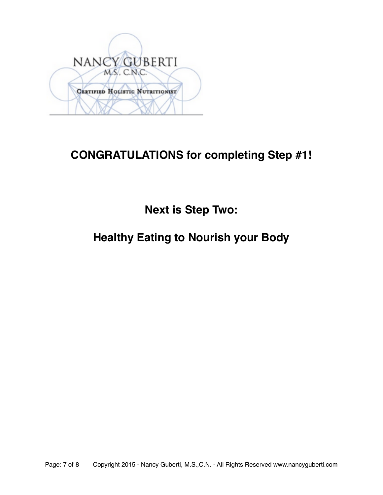

### **CONGRATULATIONS for completing Step #1!**

**Next is Step Two:**

### **Healthy Eating to Nourish your Body**